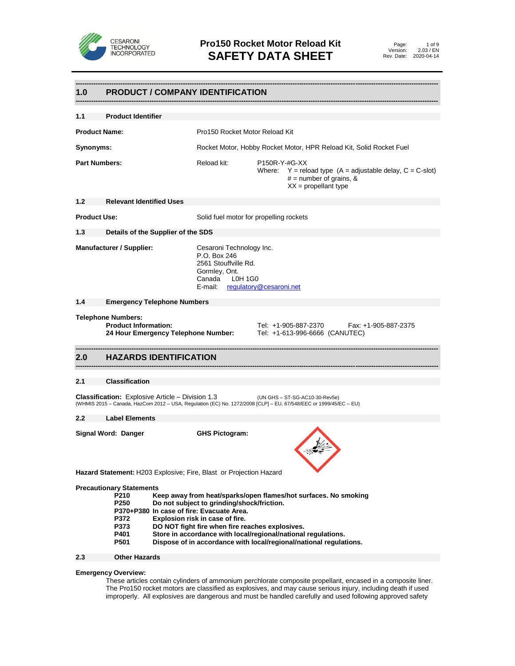

## **------------------------------------------------------------------------------------------------------------------------------------------------------------------ 1.0 PRODUCT / COMPANY IDENTIFICATION ------------------------------------------------------------------------------------------------------------------------------------------------------------------ 1.1 Product Identifier Product Name:** Pro150 Rocket Motor Reload Kit **Synonyms:** Rocket Motor, Hobby Rocket Motor, HPR Reload Kit, Solid Rocket Fuel Part Numbers: Reload kit: P150R-Y-#G-XX Where:  $Y =$  reload type  $(A =$  adjustable delay,  $C = C$ -slot)  $#$  = number of grains, &  $XX =$  propellant type **1.2 Relevant Identified Uses Product Use:** Solid fuel motor for propelling rockets **1.3 Details of the Supplier of the SDS Manufacturer / Supplier:** Cesaroni Technology Inc. P.O. Box 246 2561 Stouffville Rd. Gormley, Ont. Canada L0H 1G0<br>E-mail: regulatory [regulatory@cesaroni.net](mailto:regulatory@cesaroni.net) **1.4 Emergency Telephone Numbers Telephone Numbers: Product Information:** Tel: +1-905-887-2370 Fax: +1-905-887-2375 **24 Hour Emergency Telephone Number:** Tel: +1-613-996-6666 (CANUTEC) **------------------------------------------------------------------------------------------------------------------------------------------------------------------ 2.0 HAZARDS IDENTIFICATION ------------------------------------------------------------------------------------------------------------------------------------------------------------------ 2.1 Classification Classification:** Explosive Article – Division 1.3 (UN GHS – ST-SG-AC10-30-Rev5e) (WHMIS 2015 – Canada, HazCom 2012 – USA, Regulation (EC) No. 1272/2008 [CLP] – EU, 67/548/EEC or 1999/45/EC – EU) **2.2 Label Elements Signal Word: Danger GHS Pictogram: Hazard Statement:** H203 Explosive; Fire, Blast or Projection Hazard **Precautionary Statements P210 Keep away from heat/sparks/open flames/hot surfaces. No smoking P250 Do not subject to grinding/shock/friction. P370+P380 In case of fire: Evacuate Area. P372 Explosion risk in case of fire. P373 DO NOT fight fire when fire reaches explosives. P401 Store in accordance with local/regional/national regulations.**

**P501 Dispose of in accordance with local/regional/national regulations.**

#### **2.3 Other Hazards**

#### **Emergency Overview:**

These articles contain cylinders of ammonium perchlorate composite propellant, encased in a composite liner. The Pro150 rocket motors are classified as explosives, and may cause serious injury, including death if used improperly. All explosives are dangerous and must be handled carefully and used following approved safety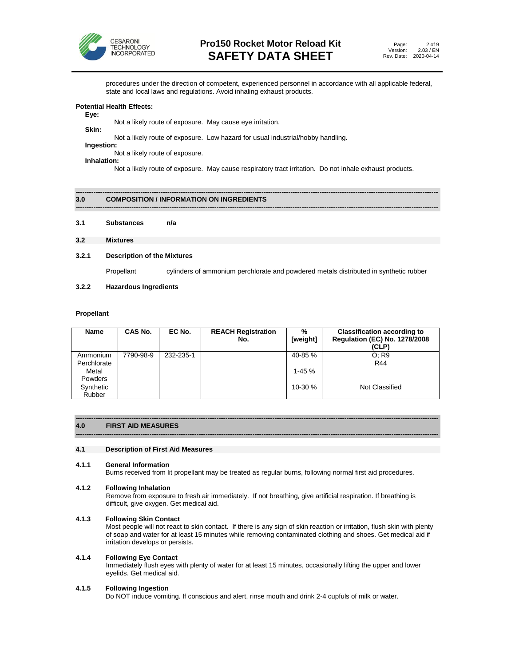

procedures under the direction of competent, experienced personnel in accordance with all applicable federal, state and local laws and regulations. Avoid inhaling exhaust products.

#### **Potential Health Effects:**

#### **Eye:**

 Not a likely route of exposure. May cause eye irritation. **Skin:**

Not a likely route of exposure. Low hazard for usual industrial/hobby handling.

#### **Ingestion:**

Not a likely route of exposure. **Inhalation:**

Not a likely route of exposure. May cause respiratory tract irritation. Do not inhale exhaust products.

**------------------------------------------------------------------------------------------------------------------------------------------------------------------**

#### **------------------------------------------------------------------------------------------------------------------------------------------------------------------ 3.0 COMPOSITION / INFORMATION ON INGREDIENTS**

**3.1 Substances n/a**

#### **3.2 Mixtures**

#### **3.2.1 Description of the Mixtures**

Propellant cylinders of ammonium perchlorate and powdered metals distributed in synthetic rubber

**3.2.2 Hazardous Ingredients**

#### **Propellant**

| Name        | CAS No.   | EC No.    | <b>REACH Registration</b><br>No. | $\%$<br>[weight] | <b>Classification according to</b><br><b>Regulation (EC) No. 1278/2008</b><br>(CLP) |
|-------------|-----------|-----------|----------------------------------|------------------|-------------------------------------------------------------------------------------|
| Ammonium    | 7790-98-9 | 232-235-1 |                                  | 40-85 %          | O: R9                                                                               |
| Perchlorate |           |           |                                  |                  | R44                                                                                 |
| Metal       |           |           |                                  | $1-45%$          |                                                                                     |
| Powders     |           |           |                                  |                  |                                                                                     |
| Synthetic   |           |           |                                  | $10-30%$         | Not Classified                                                                      |
| Rubber      |           |           |                                  |                  |                                                                                     |

#### **------------------------------------------------------------------------------------------------------------------------------------------------------------------ 4.0 FIRST AID MEASURES**

#### **4.1 Description of First Aid Measures**

#### **4.1.1 General Information**

Burns received from lit propellant may be treated as regular burns, following normal first aid procedures.

**------------------------------------------------------------------------------------------------------------------------------------------------------------------**

#### **4.1.2 Following Inhalation**

Remove from exposure to fresh air immediately. If not breathing, give artificial respiration. If breathing is difficult, give oxygen. Get medical aid.

#### **4.1.3 Following Skin Contact**

Most people will not react to skin contact. If there is any sign of skin reaction or irritation, flush skin with plenty of soap and water for at least 15 minutes while removing contaminated clothing and shoes. Get medical aid if irritation develops or persists.

#### **4.1.4 Following Eye Contact**

Immediately flush eyes with plenty of water for at least 15 minutes, occasionally lifting the upper and lower eyelids. Get medical aid.

#### **4.1.5 Following Ingestion**

Do NOT induce vomiting. If conscious and alert, rinse mouth and drink 2-4 cupfuls of milk or water.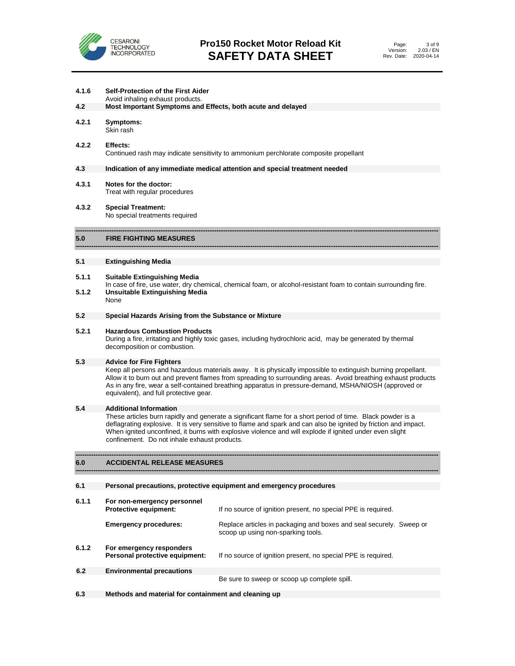

| 4.1.6<br>4.2 | <b>Self-Protection of the First Aider</b><br>Avoid inhaling exhaust products.<br>Most Important Symptoms and Effects, both acute and delayed                                                                                                                                                                                                                                             |                                                                                                           |  |
|--------------|------------------------------------------------------------------------------------------------------------------------------------------------------------------------------------------------------------------------------------------------------------------------------------------------------------------------------------------------------------------------------------------|-----------------------------------------------------------------------------------------------------------|--|
|              |                                                                                                                                                                                                                                                                                                                                                                                          |                                                                                                           |  |
| 4.2.1        | Symptoms:<br>Skin rash                                                                                                                                                                                                                                                                                                                                                                   |                                                                                                           |  |
| 4.2.2        | Effects:                                                                                                                                                                                                                                                                                                                                                                                 | Continued rash may indicate sensitivity to ammonium perchlorate composite propellant                      |  |
| 4.3          |                                                                                                                                                                                                                                                                                                                                                                                          | Indication of any immediate medical attention and special treatment needed                                |  |
| 4.3.1        | Notes for the doctor:<br>Treat with regular procedures                                                                                                                                                                                                                                                                                                                                   |                                                                                                           |  |
| 4.3.2        | <b>Special Treatment:</b><br>No special treatments required                                                                                                                                                                                                                                                                                                                              |                                                                                                           |  |
| 5.0          | <b>FIRE FIGHTING MEASURES</b>                                                                                                                                                                                                                                                                                                                                                            |                                                                                                           |  |
| 5.1          | <b>Extinguishing Media</b>                                                                                                                                                                                                                                                                                                                                                               |                                                                                                           |  |
| 5.1.1        | Suitable Extinguishing Media<br>In case of fire, use water, dry chemical, chemical foam, or alcohol-resistant foam to contain surrounding fire.                                                                                                                                                                                                                                          |                                                                                                           |  |
| 5.1.2        | <b>Unsuitable Extinguishing Media</b><br>None                                                                                                                                                                                                                                                                                                                                            |                                                                                                           |  |
| 5.2          | Special Hazards Arising from the Substance or Mixture                                                                                                                                                                                                                                                                                                                                    |                                                                                                           |  |
| 5.2.1        | <b>Hazardous Combustion Products</b><br>During a fire, irritating and highly toxic gases, including hydrochloric acid, may be generated by thermal<br>decomposition or combustion.                                                                                                                                                                                                       |                                                                                                           |  |
| 5.3          | <b>Advice for Fire Fighters</b>                                                                                                                                                                                                                                                                                                                                                          |                                                                                                           |  |
|              | Keep all persons and hazardous materials away. It is physically impossible to extinguish burning propellant.<br>Allow it to burn out and prevent flames from spreading to surrounding areas. Avoid breathing exhaust products<br>As in any fire, wear a self-contained breathing apparatus in pressure-demand, MSHA/NIOSH (approved or<br>equivalent), and full protective gear.         |                                                                                                           |  |
| 5.4          | <b>Additional Information</b>                                                                                                                                                                                                                                                                                                                                                            |                                                                                                           |  |
|              | These articles burn rapidly and generate a significant flame for a short period of time. Black powder is a<br>deflagrating explosive. It is very sensitive to flame and spark and can also be ignited by friction and impact.<br>When ignited unconfined, it burns with explosive violence and will explode if ignited under even slight<br>confinement. Do not inhale exhaust products. |                                                                                                           |  |
| 6.0          | <b>ACCIDENTAL RELEASE MEASURES</b>                                                                                                                                                                                                                                                                                                                                                       |                                                                                                           |  |
|              |                                                                                                                                                                                                                                                                                                                                                                                          |                                                                                                           |  |
| 6.1          |                                                                                                                                                                                                                                                                                                                                                                                          | Personal precautions, protective equipment and emergency procedures                                       |  |
| 6.1.1        | For non-emergency personnel<br>Protective equipment:                                                                                                                                                                                                                                                                                                                                     | If no source of ignition present, no special PPE is required.                                             |  |
|              | <b>Emergency procedures:</b>                                                                                                                                                                                                                                                                                                                                                             | Replace articles in packaging and boxes and seal securely. Sweep or<br>scoop up using non-sparking tools. |  |
| 6.1.2        | For emergency responders<br>Personal protective equipment:                                                                                                                                                                                                                                                                                                                               | If no source of ignition present, no special PPE is required.                                             |  |

**6.2 Environmental precautions**

Be sure to sweep or scoop up complete spill.

**6.3 Methods and material for containment and cleaning up**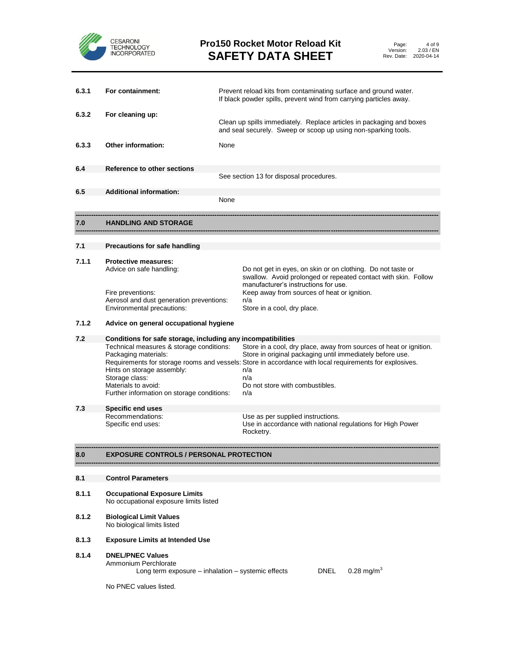

| Page:      | 4 of 9     |
|------------|------------|
| Version:   | 2.03 / EN  |
| Rev. Date: | 2020-04-14 |

| 6.3.1 | For containment:                                                                                                                                                                                                                                      |  | Prevent reload kits from contaminating surface and ground water.<br>If black powder spills, prevent wind from carrying particles away.                                                                                                                                                             |  |  |
|-------|-------------------------------------------------------------------------------------------------------------------------------------------------------------------------------------------------------------------------------------------------------|--|----------------------------------------------------------------------------------------------------------------------------------------------------------------------------------------------------------------------------------------------------------------------------------------------------|--|--|
| 6.3.2 | For cleaning up:                                                                                                                                                                                                                                      |  | Clean up spills immediately. Replace articles in packaging and boxes<br>and seal securely. Sweep or scoop up using non-sparking tools.                                                                                                                                                             |  |  |
| 6.3.3 | <b>Other information:</b><br>None                                                                                                                                                                                                                     |  |                                                                                                                                                                                                                                                                                                    |  |  |
| 6.4   | Reference to other sections                                                                                                                                                                                                                           |  | See section 13 for disposal procedures.                                                                                                                                                                                                                                                            |  |  |
| 6.5   | <b>Additional information:</b>                                                                                                                                                                                                                        |  | None                                                                                                                                                                                                                                                                                               |  |  |
| 7.0   | <b>HANDLING AND STORAGE</b>                                                                                                                                                                                                                           |  |                                                                                                                                                                                                                                                                                                    |  |  |
| 7.1   | Precautions for safe handling                                                                                                                                                                                                                         |  |                                                                                                                                                                                                                                                                                                    |  |  |
| 7.1.1 | <b>Protective measures:</b><br>Advice on safe handling:                                                                                                                                                                                               |  | Do not get in eyes, on skin or on clothing. Do not taste or<br>swallow. Avoid prolonged or repeated contact with skin. Follow<br>manufacturer's instructions for use.                                                                                                                              |  |  |
|       | Fire preventions:<br>Aerosol and dust generation preventions:<br>Environmental precautions:                                                                                                                                                           |  | Keep away from sources of heat or ignition.<br>n/a<br>Store in a cool, dry place.                                                                                                                                                                                                                  |  |  |
| 7.1.2 | Advice on general occupational hygiene                                                                                                                                                                                                                |  |                                                                                                                                                                                                                                                                                                    |  |  |
| 7.2   | Conditions for safe storage, including any incompatibilities<br>Technical measures & storage conditions:<br>Packaging materials:<br>Hints on storage assembly:<br>Storage class:<br>Materials to avoid:<br>Further information on storage conditions: |  | Store in a cool, dry place, away from sources of heat or ignition.<br>Store in original packaging until immediately before use.<br>Requirements for storage rooms and vessels: Store in accordance with local requirements for explosives.<br>n/a<br>n/a<br>Do not store with combustibles.<br>n/a |  |  |
| 7.3   | Specific end uses                                                                                                                                                                                                                                     |  |                                                                                                                                                                                                                                                                                                    |  |  |
|       | Recommendations:<br>Specific end uses:                                                                                                                                                                                                                |  | Use as per supplied instructions.<br>Use in accordance with national regulations for High Power<br>Rocketry.                                                                                                                                                                                       |  |  |
| 8.0   | EXPOSURE CONTROLS / PERSONAL PROTECTION                                                                                                                                                                                                               |  |                                                                                                                                                                                                                                                                                                    |  |  |
| 8.1   | <b>Control Parameters</b>                                                                                                                                                                                                                             |  |                                                                                                                                                                                                                                                                                                    |  |  |
| 8.1.1 | <b>Occupational Exposure Limits</b><br>No occupational exposure limits listed                                                                                                                                                                         |  |                                                                                                                                                                                                                                                                                                    |  |  |
| 8.1.2 | <b>Biological Limit Values</b><br>No biological limits listed                                                                                                                                                                                         |  |                                                                                                                                                                                                                                                                                                    |  |  |
| 8.1.3 | <b>Exposure Limits at Intended Use</b>                                                                                                                                                                                                                |  |                                                                                                                                                                                                                                                                                                    |  |  |
| 8.1.4 | <b>DNEL/PNEC Values</b>                                                                                                                                                                                                                               |  |                                                                                                                                                                                                                                                                                                    |  |  |

Ammonium Perchlorate

Long term exposure – inhalation – systemic effects  $DNEL = 0.28$  mg/m<sup>3</sup>

No PNEC values listed.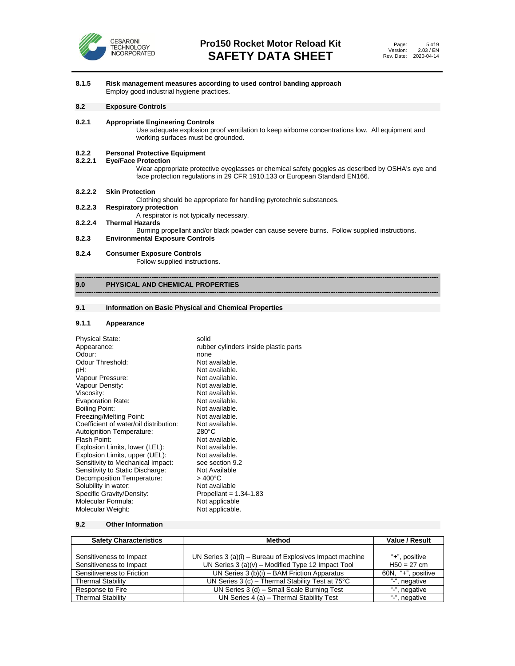

#### **8.1.5 Risk management measures according to used control banding approach** Employ good industrial hygiene practices.

#### **8.2 Exposure Controls**

#### **8.2.1 Appropriate Engineering Controls**

Use adequate explosion proof ventilation to keep airborne concentrations low. All equipment and working surfaces must be grounded.

## **8.2.2 Personal Protective Equipment**

#### **8.2.2.1 Eye/Face Protection**

Wear appropriate protective eyeglasses or chemical safety goggles as described by OSHA's eye and face protection regulations in 29 CFR 1910.133 or European Standard EN166.

#### **8.2.2.2 Skin Protection**

Clothing should be appropriate for handling pyrotechnic substances.<br>8.2.2.3 Respiratory protection

- **8.2.2.3 Respiratory protection** A respirator is not typically necessary.
- **8.2.2.4 Thermal Hazards**

Burning propellant and/or black powder can cause severe burns. Follow supplied instructions.

**------------------------------------------------------------------------------------------------------------------------------------------------------------------**

#### **8.2.3 Environmental Exposure Controls**

#### **8.2.4 Consumer Exposure Controls**

Follow supplied instructions.

#### **------------------------------------------------------------------------------------------------------------------------------------------------------------------ 9.0 PHYSICAL AND CHEMICAL PROPERTIES**

#### **9.1 Information on Basic Physical and Chemical Properties**

#### **9.1.1 Appearance**

| <b>Physical State:</b>                 | solid                                 |
|----------------------------------------|---------------------------------------|
| Appearance:                            | rubber cylinders inside plastic parts |
| Odour:                                 | none                                  |
| Odour Threshold:                       | Not available.                        |
| pH:                                    | Not available.                        |
| Vapour Pressure:                       | Not available.                        |
| Vapour Density:                        | Not available.                        |
| Viscosity:                             | Not available.                        |
| <b>Evaporation Rate:</b>               | Not available.                        |
| Boiling Point:                         | Not available.                        |
| Freezing/Melting Point:                | Not available.                        |
| Coefficient of water/oil distribution: | Not available.                        |
| Autoignition Temperature:              | $280^{\circ}$ C                       |
| Flash Point:                           | Not available.                        |
| Explosion Limits, lower (LEL):         | Not available.                        |
| Explosion Limits, upper (UEL):         | Not available.                        |
| Sensitivity to Mechanical Impact:      | see section 9.2                       |
| Sensitivity to Static Discharge:       | Not Available                         |
| Decomposition Temperature:             | $>400^{\circ}$ C                      |
| Solubility in water:                   | Not available                         |
| Specific Gravity/Density:              | Propellant = $1.34 - 1.83$            |
| Molecular Formula:                     | Not applicable                        |
| Molecular Weight:                      | Not applicable.                       |

#### **9.2 Other Information**

| <b>Safety Characteristics</b> | <b>Method</b>                                              | Value / Result     |
|-------------------------------|------------------------------------------------------------|--------------------|
|                               |                                                            |                    |
| Sensitiveness to Impact       | UN Series $3(a)(i)$ – Bureau of Explosives Impact machine  | "+", positive      |
| Sensitiveness to Impact       | UN Series $3(a)(v)$ – Modified Type 12 Impact Tool         | $H50 = 27$ cm      |
| Sensitiveness to Friction     | UN Series 3 (b)(i) - BAM Friction Apparatus                | 60N, "+", positive |
| <b>Thermal Stability</b>      | UN Series 3 (c) - Thermal Stability Test at $75^{\circ}$ C | "-", negative      |
| Response to Fire              | UN Series 3 (d) - Small Scale Burning Test                 | "-", negative      |
| <b>Thermal Stability</b>      | UN Series 4 (a) - Thermal Stability Test                   | "-", negative      |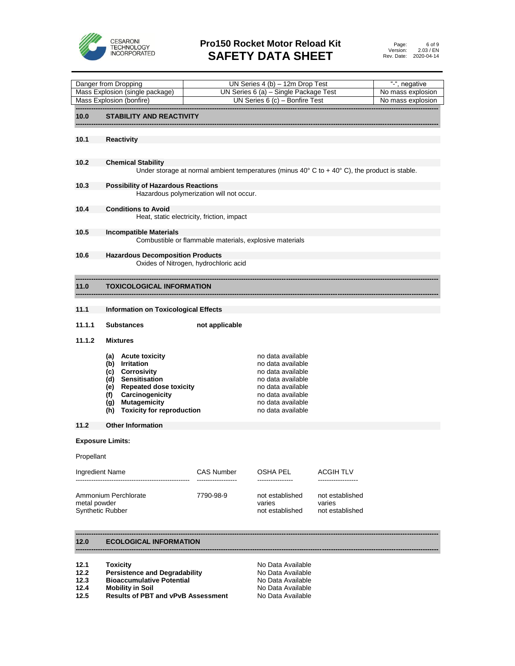

## **Pro150 Rocket Motor Reload Kit SAFETY DATA SHEET**

|                                                             | Danger from Dropping                                                                                                                                                                                |                                                                           | UN Series $4(b) - 12m$ Drop Test                                                                                                                                     |                                              | "-", negative |
|-------------------------------------------------------------|-----------------------------------------------------------------------------------------------------------------------------------------------------------------------------------------------------|---------------------------------------------------------------------------|----------------------------------------------------------------------------------------------------------------------------------------------------------------------|----------------------------------------------|---------------|
| Mass Explosion (single package)<br>Mass Explosion (bonfire) |                                                                                                                                                                                                     | UN Series 6 (a) - Single Package Test<br>UN Series $6$ (c) - Bonfire Test |                                                                                                                                                                      | No mass explosion<br>No mass explosion       |               |
|                                                             | <b>STABILITY AND REACTIVITY</b>                                                                                                                                                                     |                                                                           |                                                                                                                                                                      |                                              |               |
| 10.0                                                        |                                                                                                                                                                                                     |                                                                           |                                                                                                                                                                      |                                              |               |
| 10.1                                                        | <b>Reactivity</b>                                                                                                                                                                                   |                                                                           |                                                                                                                                                                      |                                              |               |
| 10.2                                                        | <b>Chemical Stability</b><br>Under storage at normal ambient temperatures (minus $40^{\circ}$ C to + $40^{\circ}$ C), the product is stable.                                                        |                                                                           |                                                                                                                                                                      |                                              |               |
| 10.3                                                        | <b>Possibility of Hazardous Reactions</b>                                                                                                                                                           | Hazardous polymerization will not occur.                                  |                                                                                                                                                                      |                                              |               |
| 10.4                                                        | <b>Conditions to Avoid</b>                                                                                                                                                                          | Heat, static electricity, friction, impact                                |                                                                                                                                                                      |                                              |               |
| 10.5                                                        | <b>Incompatible Materials</b>                                                                                                                                                                       | Combustible or flammable materials, explosive materials                   |                                                                                                                                                                      |                                              |               |
| 10.6                                                        | <b>Hazardous Decomposition Products</b>                                                                                                                                                             | Oxides of Nitrogen, hydrochloric acid                                     |                                                                                                                                                                      |                                              |               |
| 11.0                                                        | <b>TOXICOLOGICAL INFORMATION</b>                                                                                                                                                                    |                                                                           |                                                                                                                                                                      |                                              |               |
| 11.1                                                        | <b>Information on Toxicological Effects</b>                                                                                                                                                         |                                                                           |                                                                                                                                                                      |                                              |               |
| 11.1.1                                                      | <b>Substances</b>                                                                                                                                                                                   | not applicable                                                            |                                                                                                                                                                      |                                              |               |
| 11.1.2                                                      | <b>Mixtures</b>                                                                                                                                                                                     |                                                                           |                                                                                                                                                                      |                                              |               |
|                                                             | (a) Acute toxicity<br>(b) Irritation<br>(c) Corrosivity<br>(d) Sensitisation<br>(e) Repeated dose toxicity<br>Carcinogenicity<br>(f)<br><b>Mutagemicity</b><br>(g)<br>(h) Toxicity for reproduction |                                                                           | no data available<br>no data available<br>no data available<br>no data available<br>no data available<br>no data available<br>no data available<br>no data available |                                              |               |
| 11.2                                                        | <b>Other Information</b>                                                                                                                                                                            |                                                                           |                                                                                                                                                                      |                                              |               |
| <b>Exposure Limits:</b>                                     |                                                                                                                                                                                                     |                                                                           |                                                                                                                                                                      |                                              |               |
| Propellant                                                  |                                                                                                                                                                                                     |                                                                           |                                                                                                                                                                      |                                              |               |
| Ingredient Name                                             |                                                                                                                                                                                                     | CAS Number                                                                | OSHA PEL<br>________________                                                                                                                                         | ACGIH TLV<br>------------------              |               |
| metal powder<br><b>Synthetic Rubber</b>                     | Ammonium Perchlorate                                                                                                                                                                                | 7790-98-9                                                                 | not established<br>varies<br>not established                                                                                                                         | not established<br>varies<br>not established |               |

#### **12.0 ECOLOGICAL INFORMATION**

| 12.1 | <b>Toxicity</b>                      | No Data Available |
|------|--------------------------------------|-------------------|
| 12.2 | <b>Persistence and Degradability</b> | No Data Available |
| 12.3 | <b>Bioaccumulative Potential</b>     | No Data Available |

- 
- **12.4 Mobility in Soil 12.5 Results of PBT and vPvB Assessment No Data Available Results of PBT and vPvB Assessment**

**------------------------------------------------------------------------------------------------------------------------------------------------------------------**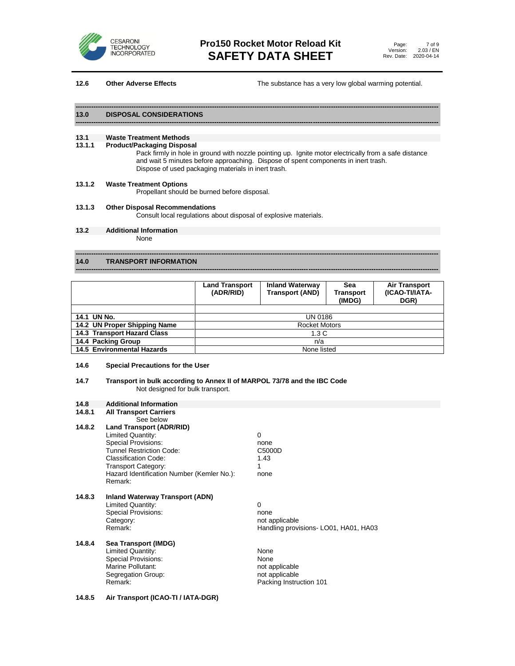

**12.6 Other Adverse Effects The substance has a very low global warming potential.** 

#### **------------------------------------------------------------------------------------------------------------------------------------------------------------------ 13.0 DISPOSAL CONSIDERATIONS**

## **13.1 Waste Treatment Methods**

#### **13.1.1 Product/Packaging Disposal**

Pack firmly in hole in ground with nozzle pointing up. Ignite motor electrically from a safe distance and wait 5 minutes before approaching. Dispose of spent components in inert trash. Dispose of used packaging materials in inert trash.

#### **13.1.2 Waste Treatment Options**

Propellant should be burned before disposal.

#### **13.1.3 Other Disposal Recommendations**

Consult local regulations about disposal of explosive materials.

**13.2 Additional Information** None

#### **14.0 TRANSPORT INFORMATION**

|                              | <b>Land Transport</b><br>(ADR/RID) | <b>Inland Waterway</b><br><b>Transport (AND)</b> | Sea<br><b>Transport</b><br>(IMDG) | <b>Air Transport</b><br>(ICAO-TI/IATA-<br>DGR) |
|------------------------------|------------------------------------|--------------------------------------------------|-----------------------------------|------------------------------------------------|
|                              |                                    |                                                  |                                   |                                                |
| 14.1 UN No.                  |                                    | <b>UN 0186</b>                                   |                                   |                                                |
| 14.2 UN Proper Shipping Name | <b>Rocket Motors</b>               |                                                  |                                   |                                                |
| 14.3 Transport Hazard Class  |                                    | 1.3 C                                            |                                   |                                                |
| 14.4 Packing Group           |                                    | n/a                                              |                                   |                                                |
| 14.5 Environmental Hazards   |                                    | None listed                                      |                                   |                                                |

**------------------------------------------------------------------------------------------------------------------------------------------------------------------**

**------------------------------------------------------------------------------------------------------------------------------------------------------------------**

#### **14.6 Special Precautions for the User**

#### **14.7 Transport in bulk according to Annex II of MARPOL 73/78 and the IBC Code** Not designed for bulk transport.

#### **14.8 Additional Information**

| See below<br><b>Land Transport (ADR/RID)</b><br>Limited Quantity:                                                                                                 |                                          |
|-------------------------------------------------------------------------------------------------------------------------------------------------------------------|------------------------------------------|
| <b>Special Provisions:</b><br><b>Tunnel Restriction Code:</b><br>Classification Code:<br><b>Transport Category:</b><br>Hazard Identification Number (Kemler No.): | 0<br>none<br>C5000D<br>1.43<br>1<br>none |
|                                                                                                                                                                   | Remark:                                  |

#### **14.8.3 Inland Waterway Transport (ADN)**

| Limited Quantity:          |       |
|----------------------------|-------|
| <b>Special Provisions:</b> | none  |
| Category:                  | not a |
| Remark:                    | Hanc  |

not applicable Handling provisions- LO01, HA01, HA03

#### **14.8.4 Sea Transport (IMDG)** Limited Quantity: The Contract of the None Special Provisions: None<br>
Marine Pollutant: National Society of America professional professor and the Marine Pollutant: National Profe<br>
Marine Pollutant: National Professional Professional Professional Professional Profes Marine Pollutant: Segregation Group: not applicable<br>Remark: not applicable Remark: not applicable Packing Instruction 101

#### **14.8.5 Air Transport (ICAO-TI / IATA-DGR)**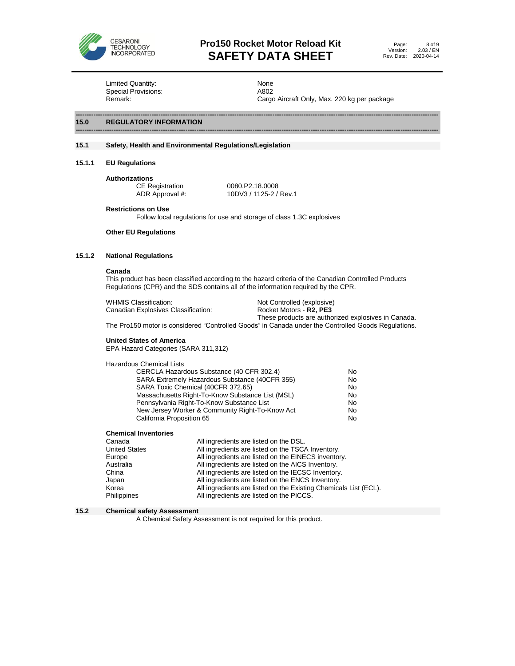

## **Pro150 Rocket Motor Reload Kit SAFETY DATA SHEET**

Limited Quantity:<br>
Special Provisions:<br>
A802 Special Provisions:

Remark: Cargo Aircraft Only, Max. 220 kg per package

#### **15.0 REGULATORY INFORMATION**

#### **15.1 Safety, Health and Environmental Regulations/Legislation**

- **15.1.1 EU Regulations**
	- **Authorizations**

CE Registration 0080.P2.18.0008<br>ADR Approval #: 10DV3 / 1125-2 / 10DV3 / 1125-2 / Rev.1

**------------------------------------------------------------------------------------------------------------------------------------------------------------------**

**------------------------------------------------------------------------------------------------------------------------------------------------------------------**

**Restrictions on Use**

Follow local regulations for use and storage of class 1.3C explosives

#### **Other EU Regulations**

#### **15.1.2 National Regulations**

#### **Canada**

This product has been classified according to the hazard criteria of the Canadian Controlled Products Regulations (CPR) and the SDS contains all of the information required by the CPR.

| WHMIS Classification:               | Not Controlled (explosive)                          |
|-------------------------------------|-----------------------------------------------------|
| Canadian Explosives Classification: | Rocket Motors - <b>R2, PE3</b>                      |
|                                     | These products are authorized explosives in Canada. |

The Pro150 motor is considered "Controlled Goods" in Canada under the Controlled Goods Regulations.

#### **United States of America**

EPA Hazard Categories (SARA 311,312)

Hazardous Chemical Lists

| CERCLA Hazardous Substance (40 CFR 302.4)        | No |
|--------------------------------------------------|----|
| SARA Extremely Hazardous Substance (40CFR 355)   | No |
| SARA Toxic Chemical (40CFR 372.65)               | No |
| Massachusetts Right-To-Know Substance List (MSL) | No |
| Pennsylvania Right-To-Know Substance List        | No |
| New Jersey Worker & Community Right-To-Know Act  | No |
| California Proposition 65                        | No |

**Chemical Inventories**

| Canada               | All ingredients are listed on the DSL.                           |
|----------------------|------------------------------------------------------------------|
| <b>United States</b> | All ingredients are listed on the TSCA Inventory.                |
| Europe               | All ingredients are listed on the EINECS inventory.              |
| Australia            | All ingredients are listed on the AICS Inventory.                |
| China                | All ingredients are listed on the IECSC Inventory.               |
| Japan                | All ingredients are listed on the ENCS Inventory.                |
| Korea                | All ingredients are listed on the Existing Chemicals List (ECL). |
| Philippines          | All ingredients are listed on the PICCS.                         |
|                      |                                                                  |

#### **15.2 Chemical safety Assessment**

A Chemical Safety Assessment is not required for this product.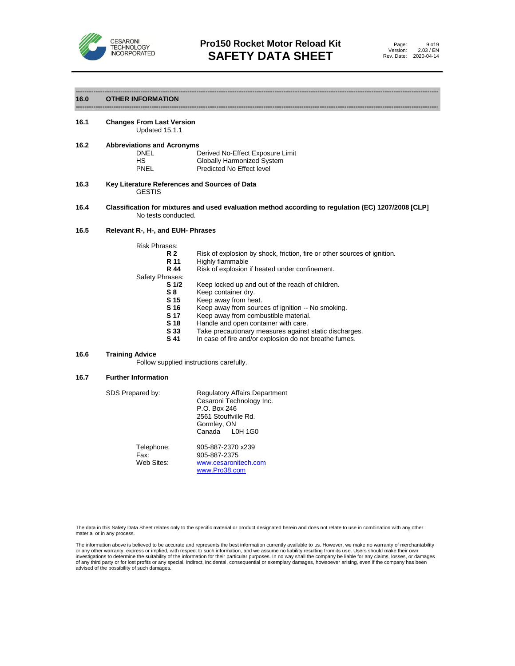

#### ------------------------------------------------------------------------------------------------------------------------------------------------------------------ **16.0 OTHER INFORMATION**

**16.1 Changes From Last Version** Updated 15.1.1

| 16.2 | <b>Abbreviations and Acronyms</b> |  |
|------|-----------------------------------|--|
|------|-----------------------------------|--|

| DNEL | Derived No-Effect Exposure Limit |
|------|----------------------------------|
| НS   | Globally Harmonized System       |
| PNEL | Predicted No Effect level        |

- **16.3 Key Literature References and Sources of Data** GESTIS
- **16.4 Classification for mixtures and used evaluation method according to regulation (EC) 1207/2008 [CLP]** No tests conducted.

#### **16.5 Relevant R-, H-, and EUH- Phrases**

| <b>Risk Phrases:</b> |                                                                          |
|----------------------|--------------------------------------------------------------------------|
| <b>R2</b>            | Risk of explosion by shock, friction, fire or other sources of ignition. |
| R 11                 | Highly flammable                                                         |
| R 44                 | Risk of explosion if heated under confinement.                           |
| Safety Phrases:      |                                                                          |
| S <sub>1/2</sub>     | Keep locked up and out of the reach of children.                         |
| S8                   | Keep container dry.                                                      |
| S 15                 | Keep away from heat.                                                     |
| S 16                 | Keep away from sources of ignition -- No smoking.                        |
| S 17                 | Keep away from combustible material.                                     |
| S 18                 | Handle and open container with care.                                     |
| - - -                | .                                                                        |

- **S 33** Take precautionary measures against static discharges.
- **S 41** In case of fire and/or explosion do not breathe fumes.

#### **16.6 Training Advice**

Follow supplied instructions carefully.

#### **16.7 Further Information**

| SDS Prepared by:                 | <b>Regulatory Affairs Department</b><br>Cesaroni Technology Inc.<br>P.O. Box 246<br>2561 Stouffville Rd.<br>Gormley, ON<br>Canada L0H 1G0 |
|----------------------------------|-------------------------------------------------------------------------------------------------------------------------------------------|
| Telephone:<br>Fax:<br>Web Sites: | 905-887-2370 x239<br>905-887-2375<br>www.cesaronitech.com<br>www.Pro38.com                                                                |

The data in this Safety Data Sheet relates only to the specific material or product designated herein and does not relate to use in combination with any other material or in any process.

The information above is believed to be accurate and represents the best information currently available to us. However, we make no warranty of merchantability<br>or any other warranty, express or implied, with respect to suc investigations to determine the suitability of the information for their particular purposes. In no way shall the company be liable for any claims, losses, or damages of any third party or for lost profits or any special, indirect, incidental, consequential or exemplary damages, howsoever arising, even if the company has been advised of the possibility of such damages.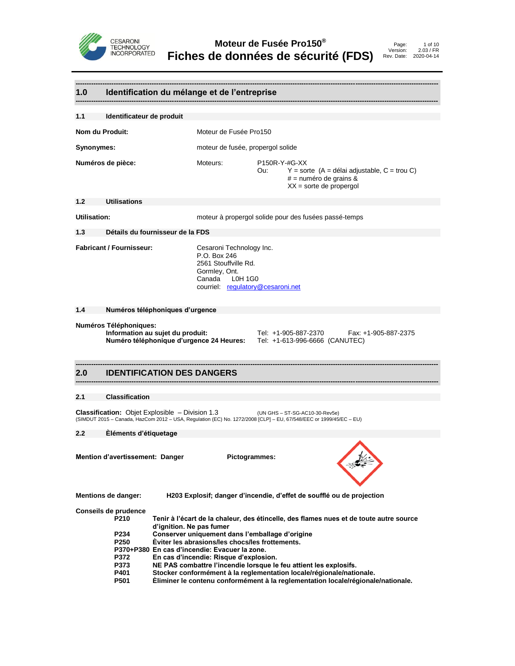

|                                                  |                                                                                                                                                                                                                |                                                                                                                                          | 1.0 Identification du mélange et de l'entreprise                                                                                                                                              |                      |                                                                                                                                                                                                                                                                                                                         |
|--------------------------------------------------|----------------------------------------------------------------------------------------------------------------------------------------------------------------------------------------------------------------|------------------------------------------------------------------------------------------------------------------------------------------|-----------------------------------------------------------------------------------------------------------------------------------------------------------------------------------------------|----------------------|-------------------------------------------------------------------------------------------------------------------------------------------------------------------------------------------------------------------------------------------------------------------------------------------------------------------------|
| 1.1                                              | Identificateur de produit                                                                                                                                                                                      |                                                                                                                                          |                                                                                                                                                                                               |                      |                                                                                                                                                                                                                                                                                                                         |
| Nom du Produit:                                  |                                                                                                                                                                                                                |                                                                                                                                          | Moteur de Fusée Pro150                                                                                                                                                                        |                      |                                                                                                                                                                                                                                                                                                                         |
| <b>Synonymes:</b>                                |                                                                                                                                                                                                                |                                                                                                                                          | moteur de fusée, propergol solide                                                                                                                                                             |                      |                                                                                                                                                                                                                                                                                                                         |
|                                                  | Numéros de pièce:                                                                                                                                                                                              |                                                                                                                                          | Moteurs:                                                                                                                                                                                      | P150R-Y-#G-XX<br>Ou: | $Y =$ sorte (A = délai adjustable, C = trou C)<br>$#$ = numéro de grains &<br>$XX =$ sorte de propergol                                                                                                                                                                                                                 |
| 1.2                                              | <b>Utilisations</b>                                                                                                                                                                                            |                                                                                                                                          |                                                                                                                                                                                               |                      |                                                                                                                                                                                                                                                                                                                         |
| Utilisation:                                     |                                                                                                                                                                                                                |                                                                                                                                          |                                                                                                                                                                                               |                      | moteur à propergol solide pour des fusées passé-temps                                                                                                                                                                                                                                                                   |
| 1.3                                              | Détails du fournisseur de la FDS                                                                                                                                                                               |                                                                                                                                          |                                                                                                                                                                                               |                      |                                                                                                                                                                                                                                                                                                                         |
| <b>Fabricant / Fournisseur:</b>                  |                                                                                                                                                                                                                | Cesaroni Technology Inc.<br>P.O. Box 246<br>2561 Stouffville Rd.<br>Gormley, Ont.<br>Canada L0H 1G0<br>courriel: regulatory@cesaroni.net |                                                                                                                                                                                               |                      |                                                                                                                                                                                                                                                                                                                         |
| 1.4                                              | Numéros téléphoniques d'urgence                                                                                                                                                                                |                                                                                                                                          |                                                                                                                                                                                               |                      |                                                                                                                                                                                                                                                                                                                         |
|                                                  | <b>Numéros Téléphoniques:</b><br>Information au sujet du produit:<br>Tel: +1-905-887-2370<br>Fax: +1-905-887-2375<br>Numéro téléphonique d'urgence 24 Heures: Tel: +1-613-996-6666 (CANUTEC)                   |                                                                                                                                          |                                                                                                                                                                                               |                      |                                                                                                                                                                                                                                                                                                                         |
| 2.0                                              | <b>IDENTIFICATION DES DANGERS</b>                                                                                                                                                                              |                                                                                                                                          |                                                                                                                                                                                               |                      |                                                                                                                                                                                                                                                                                                                         |
| 2.1                                              | <b>Classification</b>                                                                                                                                                                                          |                                                                                                                                          |                                                                                                                                                                                               |                      |                                                                                                                                                                                                                                                                                                                         |
|                                                  | <b>Classification:</b> Objet Explosible - Division 1.3<br>(UN GHS - ST-SG-AC10-30-Rev5e)<br>(SIMDUT 2015 - Canada, HazCom 2012 - USA, Regulation (EC) No. 1272/2008 [CLP] - EU, 67/548/EEC or 1999/45/EC - EU) |                                                                                                                                          |                                                                                                                                                                                               |                      |                                                                                                                                                                                                                                                                                                                         |
| $2.2\phantom{0}$                                 | Éléments d'étiquetage                                                                                                                                                                                          |                                                                                                                                          |                                                                                                                                                                                               |                      |                                                                                                                                                                                                                                                                                                                         |
| Mention d'avertissement: Danger<br>Pictogrammes: |                                                                                                                                                                                                                |                                                                                                                                          |                                                                                                                                                                                               |                      |                                                                                                                                                                                                                                                                                                                         |
|                                                  | <b>Mentions de danger:</b>                                                                                                                                                                                     |                                                                                                                                          |                                                                                                                                                                                               |                      | H203 Explosif; danger d'incendie, d'effet de soufflé ou de projection                                                                                                                                                                                                                                                   |
|                                                  | Conseils de prudence<br>P <sub>210</sub><br>P234<br>P <sub>250</sub><br>P372<br>P373<br>P401<br>P501                                                                                                           | d'ignition. Ne pas fumer                                                                                                                 | Conserver uniquement dans l'emballage d'origine<br>Èviter les abrasions/les chocs/les frottements.<br>P370+P380 En cas d'incendie: Evacuer la zone.<br>En cas d'incendie: Risque d'explosion. |                      | Tenir à l'écart de la chaleur, des étincelle, des flames nues et de toute autre source<br>NE PAS combattre l'incendie lorsque le feu attient les explosifs.<br>Stocker conformément à la reglementation locale/régionale/nationale.<br>Eliminer le contenu conformément à la reglementation locale/régionale/nationale. |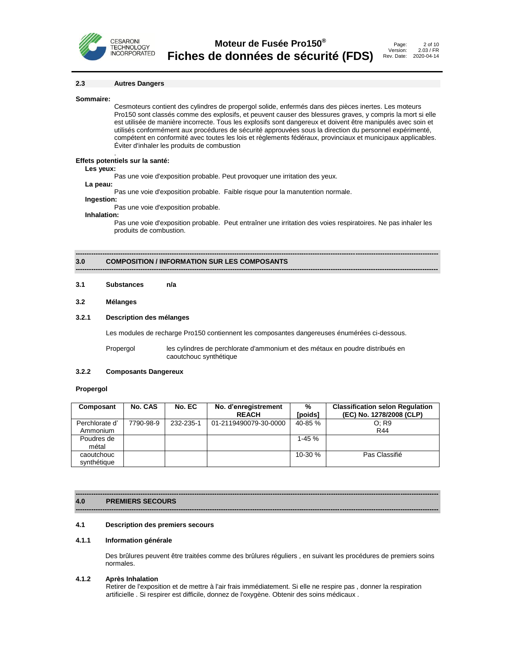

#### **2.3 Autres Dangers**

#### **Sommaire:**

Cesmoteurs contient des cylindres de propergol solide, enfermés dans des pièces inertes. Les moteurs Pro150 sont classés comme des explosifs, et peuvent causer des blessures graves, y compris la mort si elle est utilisée de manière incorrecte. Tous les explosifs sont dangereux et doivent être manipulés avec soin et utilisés conformément aux procédures de sécurité approuvées sous la direction du personnel expérimenté, compétent en conformité avec toutes les lois et règlements fédéraux, provinciaux et municipaux applicables. Éviter d'inhaler les produits de combustion

#### **Effets potentiels sur la santé:**

.

#### **Les yeux:**

Pas une voie d'exposition probable. Peut provoquer une irritation des yeux.

**La peau:**

Pas une voie d'exposition probable. Faible risque pour la manutention normale.

#### **Ingestion:**

Pas une voie d'exposition probable.

#### **Inhalation:**

Pas une voie d'exposition probable. Peut entraîner une irritation des voies respiratoires. Ne pas inhaler les produits de combustion.

#### **------------------------------------------------------------------------------------------------------------------------------------------------------------------ 3.0 COMPOSITION / INFORMATION SUR LES COMPOSANTS**

#### **3.1 Substances n/a**

#### **3.2 Mélanges**

#### **3.2.1 Description des mélanges**

Les modules de recharge Pro150 contiennent les composantes dangereuses énumérées ci-dessous.

**------------------------------------------------------------------------------------------------------------------------------------------------------------------**

Propergol les cylindres de perchlorate d'ammonium et des métaux en poudre distribués en caoutchouc synthétique

#### **3.2.2 Composants Dangereux**

#### **Propergol**

| Composant      | <b>No. CAS</b> | No. EC    | No. d'enregistrement  | %         | <b>Classification selon Regulation</b> |
|----------------|----------------|-----------|-----------------------|-----------|----------------------------------------|
|                |                |           | <b>REACH</b>          | [poids]   | (EC) No. 1278/2008 (CLP)               |
| Perchlorate d' | 7790-98-9      | 232-235-1 | 01-2119490079-30-0000 | 40-85%    | O: R9                                  |
| Ammonium       |                |           |                       |           | R44                                    |
| Poudres de     |                |           |                       | $1 - 45%$ |                                        |
| métal          |                |           |                       |           |                                        |
| caoutchouc     |                |           |                       | 10-30 %   | Pas Classifié                          |
| synthétique    |                |           |                       |           |                                        |

**------------------------------------------------------------------------------------------------------------------------------------------------------------------**

#### **------------------------------------------------------------------------------------------------------------------------------------------------------------------ 4.0 PREMIERS SECOURS**

#### **4.1 Description des premiers secours**

#### **4.1.1 Information générale**

Des brûlures peuvent être traitées comme des brûlures réguliers , en suivant les procédures de premiers soins normales.

#### **4.1.2 Après Inhalation**

Retirer de l'exposition et de mettre à l'air frais immédiatement. Si elle ne respire pas , donner la respiration artificielle . Si respirer est difficile, donnez de l'oxygène. Obtenir des soins médicaux .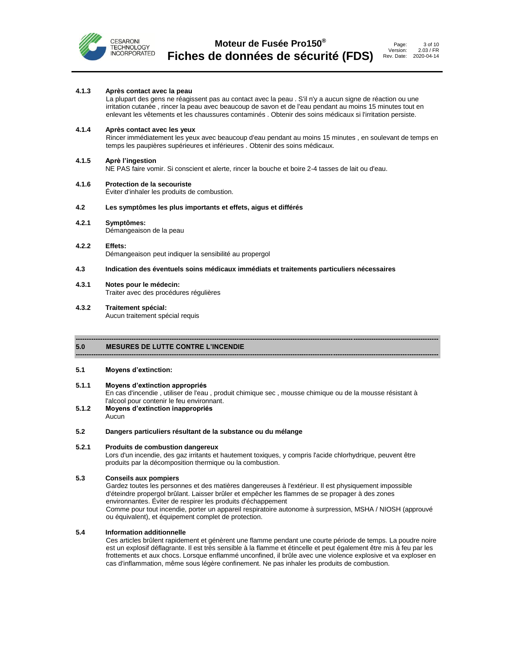

#### 3 of 10 2.03 / FR 2020-04-14

#### **4.1.3 Après contact avec la peau**

La plupart des gens ne réagissent pas au contact avec la peau . S'il n'y a aucun signe de réaction ou une irritation cutanée , rincer la peau avec beaucoup de savon et de l'eau pendant au moins 15 minutes tout en enlevant les vêtements et les chaussures contaminés . Obtenir des soins médicaux si l'irritation persiste.

#### **4.1.4 Après contact avec les yeux**

Rincer immédiatement les yeux avec beaucoup d'eau pendant au moins 15 minutes , en soulevant de temps en temps les paupières supérieures et inférieures . Obtenir des soins médicaux.

#### **4.1.5 Aprè l'ingestion**

NE PAS faire vomir. Si conscient et alerte, rincer la bouche et boire 2-4 tasses de lait ou d'eau.

#### **4.1.6 Protection de la secouriste**

Éviter d'inhaler les produits de combustion.

#### **4.2 Les symptômes les plus importants et effets, aigus et différés**

**4.2.1 Symptômes:** Démangeaison de la peau

#### **4.2.2 Effets:** Démangeaison peut indiquer la sensibilité au propergol

#### **4.3 Indication des éventuels soins médicaux immédiats et traitements particuliers nécessaires**

**4.3.1 Notes pour le médecin:** Traiter avec des procédures régulières

#### **4.3.2 Traitement spécial:**

Aucun traitement spécial requis

#### **------------------------------------------------------------------------------------------------------------------------------------------------------------------ 5.0 MESURES DE LUTTE CONTRE L'INCENDIE**

#### **5.1 Moyens d'extinction:**

#### **5.1.1 Moyens d'extinction appropriés** En cas d'incendie , utiliser de l'eau , produit chimique sec , mousse chimique ou de la mousse résistant à l'alcool pour contenir le feu environnant.

**------------------------------------------------------------------------------------------------------------------------------------------------------------------**

**5.1.2 Moyens d'extinction inappropriés** Aucun

#### **5.2 Dangers particuliers résultant de la substance ou du mélange**

#### **5.2.1 Produits de combustion dangereux**

Lors d'un incendie, des gaz irritants et hautement toxiques, y compris l'acide chlorhydrique, peuvent être produits par la décomposition thermique ou la combustion.

#### **5.3 Conseils aux pompiers**

Gardez toutes les personnes et des matières dangereuses à l'extérieur. Il est physiquement impossible d'éteindre propergol brûlant. Laisser brûler et empêcher les flammes de se propager à des zones environnantes. Éviter de respirer les produits d'échappement Comme pour tout incendie, porter un appareil respiratoire autonome à surpression, MSHA / NIOSH (approuvé ou équivalent), et équipement complet de protection.

#### **5.4 Information additionnelle**

Ces articles brûlent rapidement et génèrent une flamme pendant une courte période de temps. La poudre noire est un explosif déflagrante. Il est très sensible à la flamme et étincelle et peut également être mis à feu par les frottements et aux chocs. Lorsque enflammé unconfined, il brûle avec une violence explosive et va exploser en cas d'inflammation, même sous légère confinement. Ne pas inhaler les produits de combustion.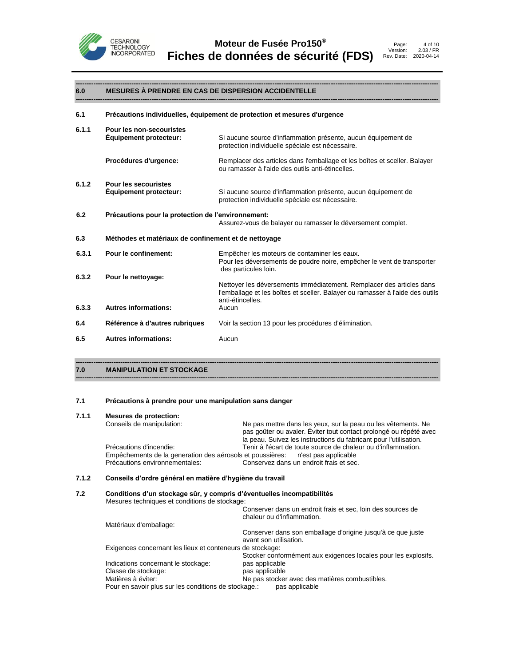

#### **------------------------------------------------------------------------------------------------------------------------------------------------------------------ 6.0 MESURES À PRENDRE EN CAS DE DISPERSION ACCIDENTELLE**

| 6.1   |                                                              | Précautions individuelles, équipement de protection et mesures d'urgence                                                                                                  |
|-------|--------------------------------------------------------------|---------------------------------------------------------------------------------------------------------------------------------------------------------------------------|
| 6.1.1 | Pour les non-secouristes<br><b>Equipement protecteur:</b>    | Si aucune source d'inflammation présente, aucun équipement de<br>protection individuelle spéciale est nécessaire.                                                         |
|       | Procédures d'urgence:                                        | Remplacer des articles dans l'emballage et les boîtes et sceller. Balayer<br>ou ramasser à l'aide des outils anti-étincelles.                                             |
| 6.1.2 | <b>Pour les secouristes</b><br><b>Equipement protecteur:</b> | Si aucune source d'inflammation présente, aucun équipement de<br>protection individuelle spéciale est nécessaire.                                                         |
| 6.2   | Précautions pour la protection de l'environnement:           | Assurez-vous de balayer ou ramasser le déversement complet.                                                                                                               |
| 6.3   | Méthodes et matériaux de confinement et de nettoyage         |                                                                                                                                                                           |
| 6.3.1 | <b>Pour le confinement:</b>                                  | Empêcher les moteurs de contaminer les eaux.<br>Pour les déversements de poudre noire, empêcher le vent de transporter<br>des particules loin.                            |
| 6.3.2 | Pour le nettoyage:                                           | Nettoyer les déversements immédiatement. Remplacer des articles dans<br>l'emballage et les boîtes et sceller. Balayer ou ramasser à l'aide des outils<br>anti-étincelles. |
| 6.3.3 | <b>Autres informations:</b>                                  | Aucun                                                                                                                                                                     |
| 6.4   | Référence à d'autres rubriques                               | Voir la section 13 pour les procédures d'élimination.                                                                                                                     |
| 6.5   | <b>Autres informations:</b>                                  | Aucun                                                                                                                                                                     |
|       |                                                              |                                                                                                                                                                           |

**7.0 MANIPULATION ET STOCKAGE**

#### **7.1 Précautions à prendre pour une manipulation sans danger**

#### **7.1.1 Mesures de protection:**

| Conseils de manipulation:      | Ne pas mettre dans les yeux, sur la peau ou les vêtements. Ne<br>pas goûter ou avaler. Eviter tout contact prolongé ou répété avec<br>la peau. Suivez les instructions du fabricant pour l'utilisation. |                                                                                                                                            |
|--------------------------------|---------------------------------------------------------------------------------------------------------------------------------------------------------------------------------------------------------|--------------------------------------------------------------------------------------------------------------------------------------------|
| Précautions d'incendie:        | Tenir à l'écart de toute source de chaleur ou d'inflammation.                                                                                                                                           |                                                                                                                                            |
|                                |                                                                                                                                                                                                         |                                                                                                                                            |
| Précautions environnementales: | Conservez dans un endroit frais et sec.                                                                                                                                                                 |                                                                                                                                            |
|                                |                                                                                                                                                                                                         |                                                                                                                                            |
|                                |                                                                                                                                                                                                         | Empêchements de la generation des aérosols et poussières: n'est pas applicable<br>Conseils d'ordre général en matière d'hygiène du travail |

**------------------------------------------------------------------------------------------------------------------------------------------------------------------**

| 7.2 | Conditions d'un stockage sûr, y compris d'éventuelles incompatibilités<br>Mesures techniques et conditions de stockage: |                                                                                           |
|-----|-------------------------------------------------------------------------------------------------------------------------|-------------------------------------------------------------------------------------------|
|     |                                                                                                                         | Conserver dans un endroit frais et sec, loin des sources de<br>chaleur ou d'inflammation. |
|     | Matériaux d'emballage:                                                                                                  |                                                                                           |
|     |                                                                                                                         | Conserver dans son emballage d'origine jusqu'à ce que juste<br>avant son utilisation.     |
|     | Exigences concernant les lieux et conteneurs de stockage:                                                               |                                                                                           |
|     |                                                                                                                         | Stocker conformément aux exigences locales pour les explosifs.                            |
|     | Indications concernant le stockage:                                                                                     | pas applicable                                                                            |
|     | Classe de stockage:                                                                                                     | pas applicable                                                                            |
|     | Matières à éviter:                                                                                                      | Ne pas stocker avec des matières combustibles.                                            |
|     | Pour en savoir plus sur les conditions de stockage.:                                                                    | pas applicable                                                                            |
|     |                                                                                                                         |                                                                                           |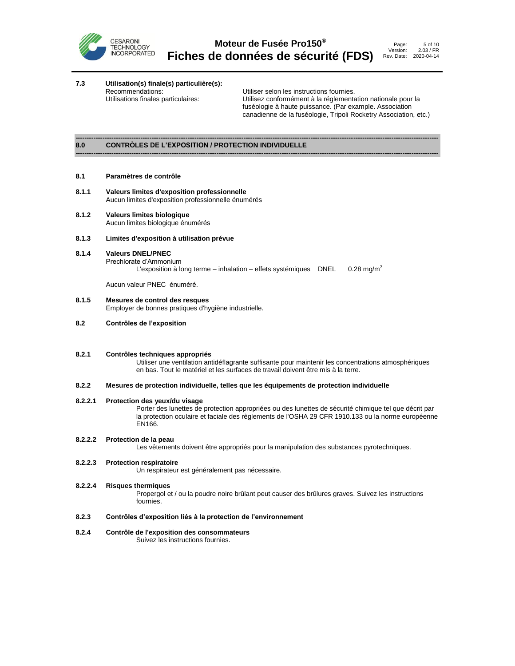

**7.3 Utilisation(s) finale(s) particulière(s):**

Utiliser selon les instructions fournies. Utilisations finales particulaires: Utilisez conformément à la réglementation nationale pour la fuséologie à haute puissance. (Par example. Association canadienne de la fuséologie, Tripoli Rocketry Association, etc.)

#### **------------------------------------------------------------------------------------------------------------------------------------------------------------------ 8.0 CONTRÒLES DE L'EXPOSITION / PROTECTION INDIVIDUELLE**

#### **8.1 Paramètres de contrôle**

- **8.1.1 Valeurs limites d'exposition professionnelle** Aucun limites d'exposition professionnelle énumérés
- **8.1.2 Valeurs limites biologique** Aucun limites biologique énumérés
- **8.1.3 Limites d'exposition à utilisation prévue**
- **8.1.4 Valeurs DNEL/PNEC** Prechlorate d'Ammonium L'exposition à long terme – inhalation – effets systémiques DNEL  $0.28 \text{ mg/m}^3$

Aucun valeur PNEC énuméré.

- **8.1.5 Mesures de control des resques** Employer de bonnes pratiques d'hygiène industrielle.
- **8.2 Contrôles de l'exposition**
- **8.2.1 Contrôles techniques appropriés**

Utiliser une ventilation antidéflagrante suffisante pour maintenir les concentrations atmosphériques en bas. Tout le matériel et les surfaces de travail doivent être mis à la terre.

#### **8.2.2 Mesures de protection individuelle, telles que les équipements de protection individuelle**

#### **8.2.2.1 Protection des yeux/du visage**

Porter des lunettes de protection appropriées ou des lunettes de sécurité chimique tel que décrit par la protection oculaire et faciale des règlements de l'OSHA 29 CFR 1910.133 ou la norme européenne EN166.

#### **8.2.2.2 Protection de la peau**

Les vêtements doivent être appropriés pour la manipulation des substances pyrotechniques.

#### **8.2.2.3 Protection respiratoire**

Un respirateur est généralement pas nécessaire.

**8.2.2.4 Risques thermiques**

Propergol et / ou la poudre noire brûlant peut causer des brûlures graves. Suivez les instructions fournies.

#### **8.2.3 Contrôles d'exposition liés à la protection de l'environnement**

**8.2.4 Contrôle de l'exposition des consommateurs**

Suivez les instructions fournies.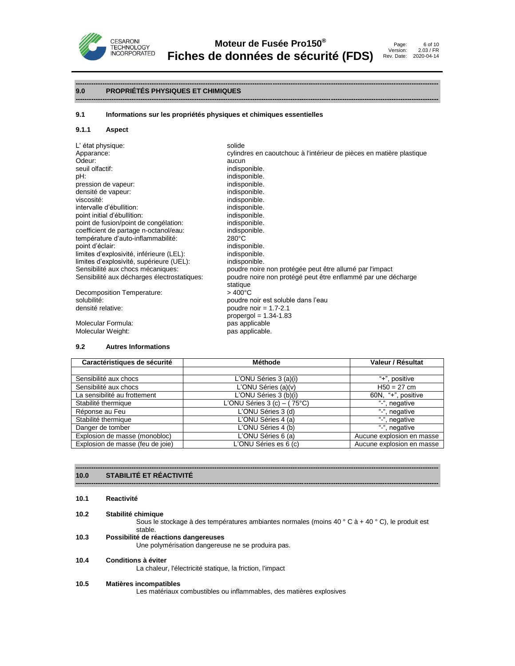

#### **------------------------------------------------------------------------------------------------------------------------------------------------------------------ 9.0 PROPRIÉTÉS PHYSIQUES ET CHIMIQUES**

#### **9.1 Informations sur les propriétés physiques et chimiques essentielles**

#### **9.1.1 Aspect**

| solide                                                               |
|----------------------------------------------------------------------|
| cylindres en caoutchouc à l'intérieur de pièces en matière plastique |
| aucun                                                                |
| indisponible.                                                        |
| indisponible.                                                        |
| indisponible.                                                        |
| indisponible.                                                        |
| indisponible.                                                        |
| indisponible.                                                        |
| indisponible.                                                        |
| indisponible.                                                        |
| indisponible.                                                        |
| $280^{\circ}$ C                                                      |
| indisponible.                                                        |
| indisponible.                                                        |
| indisponible.                                                        |
| poudre noire non protégée peut être allumé par l'impact              |
| poudre noire non protégé peut être enflammé par une décharge         |
| statique                                                             |
| $>400^{\circ}$ C                                                     |
| poudre noir est soluble dans l'eau                                   |
| poudre noir = $1.7 - 2.1$                                            |
| propergol = $1.34 - 1.83$                                            |
| pas applicable                                                       |
| pas applicable.                                                      |
|                                                                      |

#### **9.2 Autres Informations**

| Caractéristiques de sécurité     | Méthode                       | Valeur / Résultat         |
|----------------------------------|-------------------------------|---------------------------|
|                                  |                               |                           |
| Sensibilité aux chocs            | L'ONU Séries 3 (a)(i)         | "+", positive             |
| Sensibilité aux chocs            | L'ONU Séries (a)(v)           | $H50 = 27$ cm             |
| La sensibilité au frottement     | L'ONU Séries 3 (b)(i)         | 60N, "+", positive        |
| Stabilité thermique              | L'ONU Séries 3 (c) $-$ (75°C) | "-", negative             |
| Réponse au Feu                   | L'ONU Séries 3 (d)            | "-", negative             |
| Stabilité thermique              | L'ONU Séries 4 (a)            | $\frac{u}{2}$ , negative  |
| Danger de tomber                 | L'ONU Séries 4 (b)            | "-", negative             |
| Explosion de masse (monobloc)    | L'ONU Séries 6 (a)            | Aucune explosion en masse |
| Explosion de masse (feu de joie) | L'ONU Séries es 6 (c)         | Aucune explosion en masse |

**------------------------------------------------------------------------------------------------------------------------------------------------------------------**

#### **------------------------------------------------------------------------------------------------------------------------------------------------------------------ 10.0 STABILITÉ ET RÉACTIVITÉ**

**10.1 Reactivité**

#### **10.2 Stabilité chimique**

Sous le stockage à des températures ambiantes normales (moins 40 ° C à + 40 ° C), le produit est stable.

#### **10.3 Possibilité de réactions dangereuses**

Une polymérisation dangereuse ne se produira pas.

#### **10.4 Conditions à éviter**

La chaleur, l'électricité statique, la friction, l'impact

#### **10.5 Matières incompatibles**

Les matériaux combustibles ou inflammables, des matières explosives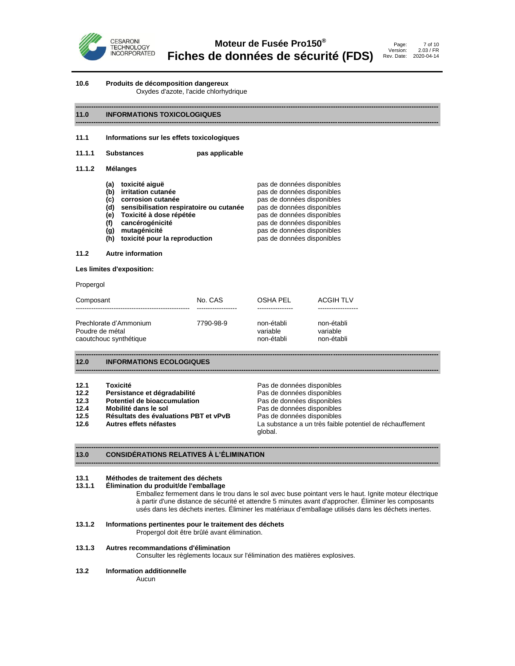



#### **10.6 Produits de décomposition dangereux**

Oxydes d'azote, l'acide chlorhydrique

#### **------------------------------------------------------------------------------------------------------------------------------------------------------------------ 11.0 INFORMATIONS TOXICOLOGIQUES**

#### **11.1 Informations sur les effets toxicologiques**

| 11.1.1 | <b>Substances</b> | pas applicable |
|--------|-------------------|----------------|
|        |                   |                |

#### **11.1.2 Mélanges**

| toxicité aiquë                          | pas de données disponibles |
|-----------------------------------------|----------------------------|
| irritation cutanée                      | pas de données disponibles |
| corrosion cutanée                       | pas de données disponibles |
| sensibilisation respiratoire ou cutanée | pas de données disponibles |
| Toxicité à dose répétée                 | pas de données disponibles |
| cancérogénicité                         | pas de données disponibles |
| mutagénicité                            | pas de données disponibles |
|                                         |                            |

**(h) toxicité pour la reproduction** pas de données disponibles

#### **11.2 Autre information**

**Les limites d'exposition:**

#### Propergol

| Composant              | No. CAS   | OSHA PEL   | <b>ACGIH TLV</b> |
|------------------------|-----------|------------|------------------|
| Prechlorate d'Ammonium | 7790-98-9 | non-établi | non-établi       |
| Poudre de métal        |           | variable   | variable         |
| caoutchouc synthétique |           | non-établi | non-établi       |

#### **------------------------------------------------------------------------------------------------------------------------------------------------------------------ 12.0 INFORMATIONS ECOLOGIQUES**

| 12.1 | Toxicité |  |  |
|------|----------|--|--|
|      |          |  |  |

- 12.2 **Persistance et dégradabilité**
- 
- 
- 
- 

Pas de données disponibles<br>Pas de données disponibles **12.3 Potentiel de bioaccumulation**<br>**12.4 Mobilité dans le sol Pas de données disponibles 12.4 Mobilité dans le sol de la partie de la partie de la partie de la partie de la partie de la partie de la**<br>**12.5 Résultats des évaluations PBT et vPvB** Pas de données disponibles **12.5 Résultats des évaluations PBT et vPvB** Pas de données disponibles **12.6 Autres effets néfastes** La substance a un très faible potentiel de réchauffement global.

#### **------------------------------------------------------------------------------------------------------------------------------------------------------------------ 13.0 CONSIDÉRATIONS RELATIVES À L'ÉLIMINATION**

#### **13.1 Méthodes de traitement des déchets**

#### **13.1.1 Élimination du produit/de l'emballage**

Emballez fermement dans le trou dans le sol avec buse pointant vers le haut. Ignite moteur électrique à partir d'une distance de sécurité et attendre 5 minutes avant d'approcher. Éliminer les composants usés dans les déchets inertes. Éliminer les matériaux d'emballage utilisés dans les déchets inertes.

#### **13.1.2 Informations pertinentes pour le traitement des déchets**

Propergol doit être brûlé avant élimination.

#### **13.1.3 Autres recommandations d'élimination**

Consulter les règlements locaux sur l'élimination des matières explosives.

**------------------------------------------------------------------------------------------------------------------------------------------------------------------**

**------------------------------------------------------------------------------------------------------------------------------------------------------------------**

#### **13.2 Information additionnelle**

Aucun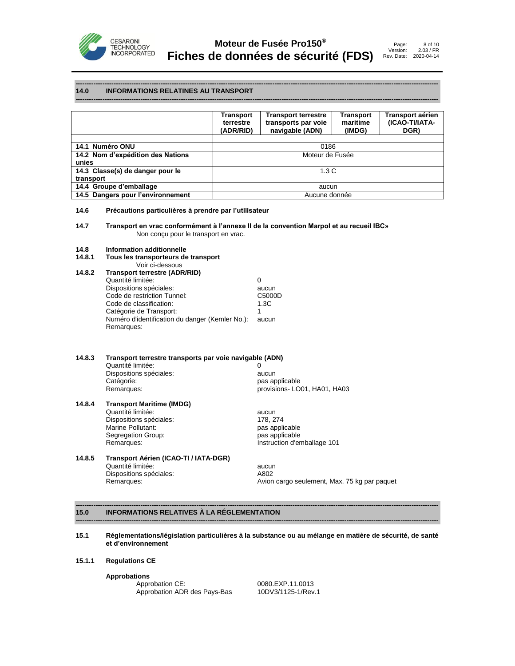

#### **------------------------------------------------------------------------------------------------------------------------------------------------------------------ 14.0 INFORMATIONS RELATINES AU TRANSPORT**

|                                   | Transport<br>terrestre<br>(ADR/RID) | <b>Transport terrestre</b><br>transports par voie<br>navigable (ADN) | Transport<br>maritime<br>(IMDG) | <b>Transport aérien</b><br>(ICAO-TI/IATA-<br>DGR) |
|-----------------------------------|-------------------------------------|----------------------------------------------------------------------|---------------------------------|---------------------------------------------------|
|                                   |                                     |                                                                      |                                 |                                                   |
| 14.1 Numéro ONU                   | 0186                                |                                                                      |                                 |                                                   |
| 14.2 Nom d'expédition des Nations | Moteur de Fusée                     |                                                                      |                                 |                                                   |
| unies                             |                                     |                                                                      |                                 |                                                   |
| 14.3 Classe(s) de danger pour le  | 1.3C                                |                                                                      |                                 |                                                   |
| transport                         |                                     |                                                                      |                                 |                                                   |
| 14.4 Groupe d'emballage           |                                     | aucun                                                                |                                 |                                                   |
| 14.5 Dangers pour l'environnement |                                     | Aucune donnée                                                        |                                 |                                                   |

**------------------------------------------------------------------------------------------------------------------------------------------------------------------**

#### **14.6 Précautions particulières à prendre par l'utilisateur**

**14.7 Transport en vrac conformément à l'annexe II de la convention Marpol et au recueil IBC»** Non conçu pour le transport en vrac.

## **14.8 Information additionnelle**

**14.8.1 Tous les transporteurs de transport**

|        | Voir ci-dessous                                 |        |
|--------|-------------------------------------------------|--------|
| 14.8.2 | <b>Transport terrestre (ADR/RID)</b>            |        |
|        | Quantité limitée:                               | 0      |
|        | Dispositions spéciales:                         | aucun  |
|        | Code de restriction Tunnel:                     | C5000D |
|        | Code de classification:                         | 1.3C   |
|        | Catégorie de Transport:                         | 1      |
|        | Numéro d'identification du danger (Kemler No.): | aucun  |
|        | Remarques:                                      |        |
|        |                                                 |        |

#### **14.8.3 Transport terrestre transports par voie navigable (ADN)** Quantité limitée: 0 Dispositions spéciales: aucun

Catégorie: en executive contractions applicable<br>
Remarques: en executive contractions provisions LO

provisions- LO01, HA01, HA03

**14.8.4 Transport Maritime (IMDG)** Quantité limitée: aucun Dispositions spéciales: Marine Pollutant: pas applicable Segregation Group:<br>Remarques:

# Instruction d'emballage 101

### **14.8.5 Transport Aérien (ICAO-TI / IATA-DGR)** Quantité limitée: aucun Dispositions spéciales: A802<br>Remarques: Avion

Avion cargo seulement, Max. 75 kg par paquet

#### **------------------------------------------------------------------------------------------------------------------------------------------------------------------ 15.0 INFORMATIONS RELATIVES À LA RÉGLEMENTATION**

#### **15.1 Réglementations/législation particulières à la substance ou au mélange en matière de sécurité, de santé et d'environnement**

**------------------------------------------------------------------------------------------------------------------------------------------------------------------**

#### **15.1.1 Regulations CE**

**Approbations**

Approbation CE: 0080.EXP.11.0013<br>Approbation ADR des Pays-Bas 10DV3/1125-1/Rev.1 Approbation ADR des Pays-Bas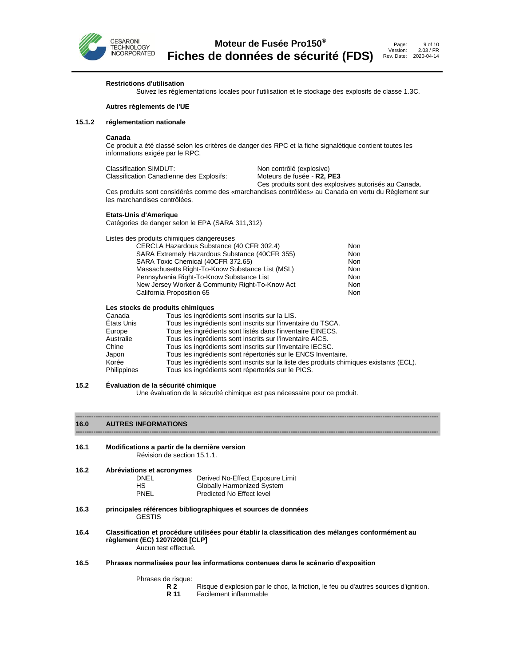

**Restrictions d'utilisation**

Suivez les réglementations locales pour l'utilisation et le stockage des explosifs de classe 1.3C.

#### **Autres règlements de l'UE**

#### **15.1.2 réglementation nationale**

#### **Canada**

Ce produit a été classé selon les critères de danger des RPC et la fiche signalétique contient toutes les informations exigée par le RPC.

| Classification SIMDUT:                   | Non contrôlé (explosive)                              |
|------------------------------------------|-------------------------------------------------------|
| Classification Canadienne des Explosifs: | Moteurs de fusée - R2, PE3                            |
|                                          | Ces produits sont des explosives autorisés au Canada. |

Ces produits sont considérés comme des «marchandises contrôlées» au Canada en vertu du Règlement sur les marchandises contrôlées.

#### **Etats-Unis d'Amerique**

Catégories de danger selon le EPA (SARA 311,312)

| Listes des produits chimiques dangereuses        |     |
|--------------------------------------------------|-----|
| CERCLA Hazardous Substance (40 CFR 302.4)        | Non |
| SARA Extremely Hazardous Substance (40CFR 355)   | Non |
| SARA Toxic Chemical (40CFR 372.65)               | Non |
| Massachusetts Right-To-Know Substance List (MSL) | Non |
| Pennsylvania Right-To-Know Substance List        | Non |
| New Jersey Worker & Community Right-To-Know Act  | Non |
| California Proposition 65                        | Non |
|                                                  |     |

#### **Les stocks de produits chimiques**

| Canada             | Tous les ingrédients sont inscrits sur la LIS.                                          |
|--------------------|-----------------------------------------------------------------------------------------|
| États Unis         | Tous les ingrédients sont inscrits sur l'inventaire du TSCA.                            |
| Europe             | Tous les ingrédients sont listés dans l'inventaire EINECS.                              |
| Australie          | Tous les ingrédients sont inscrits sur l'inventaire AICS.                               |
| Chine              | Tous les ingrédients sont inscrits sur l'inventaire IECSC.                              |
| Japon              | Tous les ingrédients sont répertoriés sur le ENCS Inventaire.                           |
| Korée              | Tous les ingrédients sont inscrits sur la liste des produits chimiques existants (ECL). |
| <b>Philippines</b> | Tous les ingrédients sont répertoriés sur le PICS.                                      |

#### **15.2 Évaluation de la sécurité chimique**

Une évaluation de la sécurité chimique est pas nécessaire pour ce produit.

**-----------------------------------------------------------------------------------------------------------------------------------------------------------------**-

#### ------------------------------------------------------------------------------------------------------------------------------------------------------------------ **16.0 AUTRES INFORMATIONS**

**16.1 Modifications a partir de la dernière version** Révision de section 15.1.1.

**16.2 Abréviations et acronymes**

| DNEL | Derived No-Effect Exposure Limit |
|------|----------------------------------|
| HS.  | Globally Harmonized System       |
| PNEL | Predicted No Effect level        |

- **16.3 principales références bibliographiques et sources de données** GESTIS
- **16.4 Classification et procédure utilisées pour établir la classification des mélanges conformément au règlement (EC) 1207/2008 [CLP]** Aucun test effectué.
- **16.5 Phrases normalisées pour les informations contenues dans le scénario d'exposition**

Phrases de risque:<br>**R 2** 

- **R 2** Risque d'explosion par le choc, la friction, le feu ou d'autres sources d'ignition.<br>**R 11** Facilement inflammable
- **Facilement inflammable**